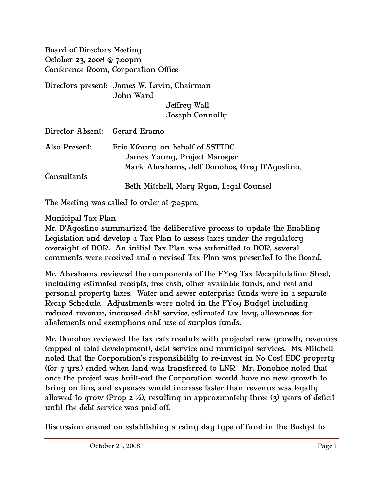Board of Directors Meeting October 23, 2008 @ 7:00pm Conference Room, Corporation Office

Directors present: James W. Lavin, Chairman John Ward Jeffrey Wall Joseph Connolly

| Director Absent: Gerard Eramo |                                                                                                                   |
|-------------------------------|-------------------------------------------------------------------------------------------------------------------|
| Also Present:                 | Eric Kfoury, on behalf of SSTTDC<br>James Young, Project Manager<br>Mark Abrahams, Jeff Donohoe, Greq D'Aqostino, |
| Consultants                   | Beth Mitchell, Mary Ryan, Legal Counsel                                                                           |

The Meeting was called to order at 7:05pm.

## Municipal Tax Plan

Mr. D'Agostino summarized the deliberative process to update the Enabling Legislation and develop a Tax Plan to assess taxes under the regulatory oversight of DOR. An initial Tax Plan was submitted to DOR, several comments were received and a revised Tax Plan was presented to the Board.

Mr. Abrahams reviewed the components of the FY09 Tax Recapitulation Sheet, including estimated receipts, free cash, other available funds, and real and personal property taxes. Water and sewer enterprise funds were in a separate Recap Schedule. Adjustments were noted in the FY09 Budget including reduced revenue, increased debt service, estimated tax levy, allowances for abatements and exemptions and use of surplus funds.

Mr. Donohoe reviewed the tax rate module with projected new growth, revenues (capped at total development), debt service and municipal services. Ms. Mitchell noted that the Corporation's responsibility to re-invest in No Cost EDC property (for 7 yrs.) ended when land was transferred to LNR. Mr. Donohoe noted that once the project was built-out the Corporation would have no new growth to bring on line, and expenses would increase faster than revenue was legally allowed to grow (Prop 2 ½), resulting in approximately three (3) years of deficit until the debt service was paid off.

Discussion ensued on establishing a rainy day type of fund in the Budget to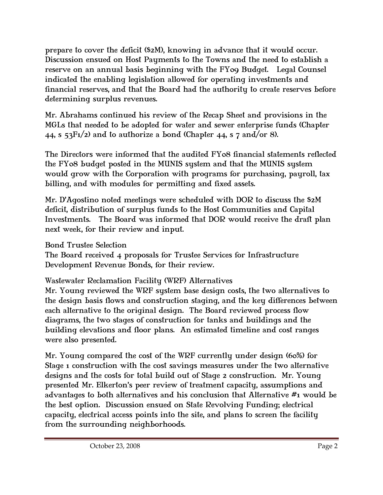prepare to cover the deficit (\$2M), knowing in advance that it would occur. Discussion ensued on Host Payments to the Towns and the need to establish a reserve on an annual basis beginning with the FY09 Budget. Legal Counsel indicated the enabling legislation allowed for operating investments and financial reserves, and that the Board had the authority to create reserves before determining surplus revenues.

Mr. Abrahams continued his review of the Recap Sheet and provisions in the MGLs that needed to be adopted for water and sewer enterprise funds (Chapter 44, s  $53F1/2$  and to authorize a bond (Chapter 44, s 7 and/or 8).

The Directors were informed that the audited FY08 financial statements reflected the FY08 budget posted in the MUNIS system and that the MUNIS system would grow with the Corporation with programs for purchasing, payroll, tax billing, and with modules for permitting and fixed assets.

Mr. D'Agostino noted meetings were scheduled with DOR to discuss the \$2M deficit, distribution of surplus funds to the Host Communities and Capital Investments. The Board was informed that DOR would receive the draft plan next week, for their review and input.

Bond Trustee Selection

The Board received 4 proposals for Trustee Services for Infrastructure Development Revenue Bonds, for their review.

Wastewater Reclamation Facility (WRF) Alternatives

Mr. Young reviewed the WRF system base design costs, the two alternatives to the design basis flows and construction staging, and the key differences between each alternative to the original design. The Board reviewed process flow diagrams, the two stages of construction for tanks and buildings and the building elevations and floor plans. An estimated timeline and cost ranges were also presented.

Mr. Young compared the cost of the WRF currently under design (60%) for Stage 1 construction with the cost savings measures under the two alternative designs and the costs for total build out of Stage 2 construction. Mr. Young presented Mr. Elkerton's peer review of treatment capacity, assumptions and advantages to both alternatives and his conclusion that Alternative #1 would be the best option. Discussion ensued on State Revolving Funding; electrical capacity, electrical access points into the site, and plans to screen the facility from the surrounding neighborhoods.